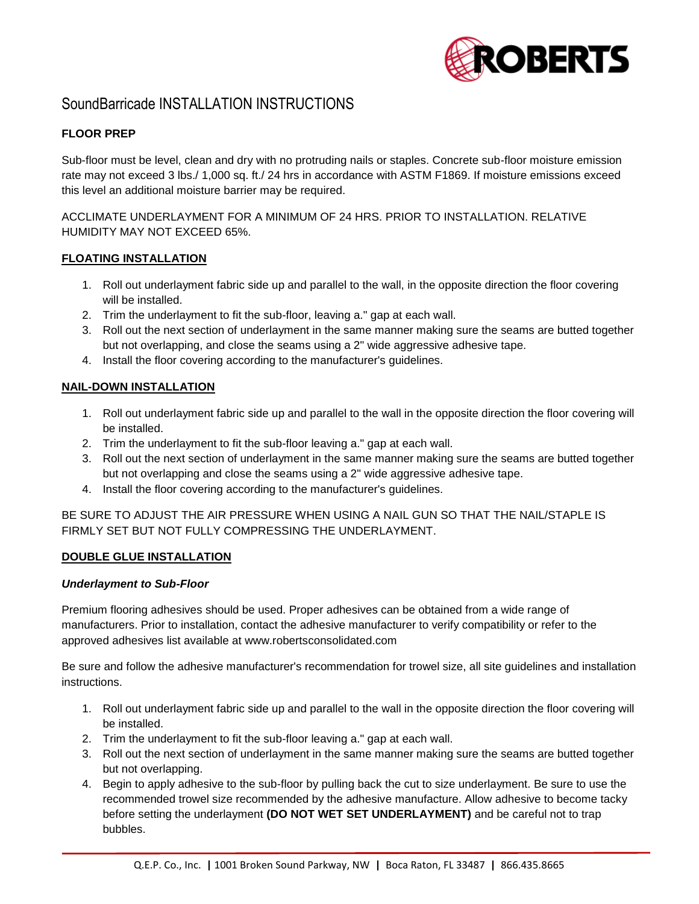

# SoundBarricade INSTALLATION INSTRUCTIONS

# **FLOOR PREP**

Sub-floor must be level, clean and dry with no protruding nails or staples. Concrete sub-floor moisture emission rate may not exceed 3 lbs./ 1,000 sq. ft./ 24 hrs in accordance with ASTM F1869. If moisture emissions exceed this level an additional moisture barrier may be required.

ACCLIMATE UNDERLAYMENT FOR A MINIMUM OF 24 HRS. PRIOR TO INSTALLATION. RELATIVE HUMIDITY MAY NOT EXCEED 65%.

### **FLOATING INSTALLATION**

- 1. Roll out underlayment fabric side up and parallel to the wall, in the opposite direction the floor covering will be installed.
- 2. Trim the underlayment to fit the sub-floor, leaving a." gap at each wall.
- 3. Roll out the next section of underlayment in the same manner making sure the seams are butted together but not overlapping, and close the seams using a 2" wide aggressive adhesive tape.
- 4. Install the floor covering according to the manufacturer's guidelines.

#### **NAIL-DOWN INSTALLATION**

- 1. Roll out underlayment fabric side up and parallel to the wall in the opposite direction the floor covering will be installed.
- 2. Trim the underlayment to fit the sub-floor leaving a." gap at each wall.
- 3. Roll out the next section of underlayment in the same manner making sure the seams are butted together but not overlapping and close the seams using a 2" wide aggressive adhesive tape.
- 4. Install the floor covering according to the manufacturer's guidelines.

BE SURE TO ADJUST THE AIR PRESSURE WHEN USING A NAIL GUN SO THAT THE NAIL/STAPLE IS FIRMLY SET BUT NOT FULLY COMPRESSING THE UNDERLAYMENT.

### **DOUBLE GLUE INSTALLATION**

#### *Underlayment to Sub-Floor*

Premium flooring adhesives should be used. Proper adhesives can be obtained from a wide range of manufacturers. Prior to installation, contact the adhesive manufacturer to verify compatibility or refer to the approved adhesives list available at www.robertsconsolidated.com

Be sure and follow the adhesive manufacturer's recommendation for trowel size, all site guidelines and installation instructions.

- 1. Roll out underlayment fabric side up and parallel to the wall in the opposite direction the floor covering will be installed.
- 2. Trim the underlayment to fit the sub-floor leaving a." gap at each wall.
- 3. Roll out the next section of underlayment in the same manner making sure the seams are butted together but not overlapping.
- 4. Begin to apply adhesive to the sub-floor by pulling back the cut to size underlayment. Be sure to use the recommended trowel size recommended by the adhesive manufacture. Allow adhesive to become tacky before setting the underlayment **(DO NOT WET SET UNDERLAYMENT)** and be careful not to trap bubbles.